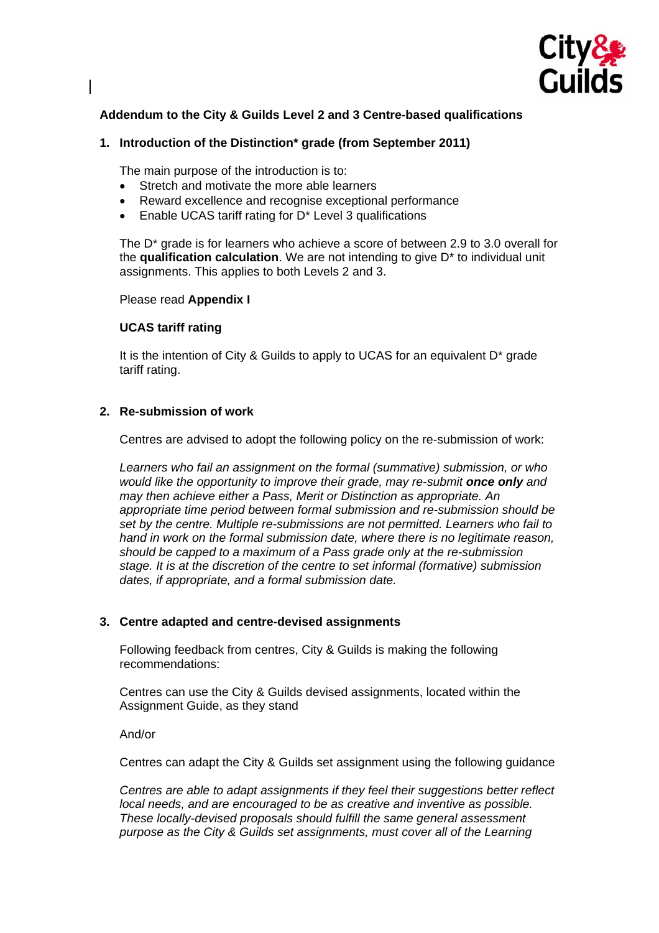

# **Addendum to the City & Guilds Level 2 and 3 Centre-based qualifications**

## **1. Introduction of the Distinction\* grade (from September 2011)**

The main purpose of the introduction is to:

- Stretch and motivate the more able learners
- Reward excellence and recognise exceptional performance
- Enable UCAS tariff rating for D\* Level 3 qualifications

The D\* grade is for learners who achieve a score of between 2.9 to 3.0 overall for the **qualification calculation**. We are not intending to give D\* to individual unit assignments. This applies to both Levels 2 and 3.

#### Please read **Appendix I**

## **UCAS tariff rating**

It is the intention of City & Guilds to apply to UCAS for an equivalent  $D^*$  grade tariff rating.

## **2. Re-submission of work**

Centres are advised to adopt the following policy on the re-submission of work:

*Learners who fail an assignment on the formal (summative) submission, or who would like the opportunity to improve their grade, may re-submit once only and may then achieve either a Pass, Merit or Distinction as appropriate. An appropriate time period between formal submission and re-submission should be set by the centre. Multiple re-submissions are not permitted. Learners who fail to hand in work on the formal submission date, where there is no legitimate reason, should be capped to a maximum of a Pass grade only at the re-submission stage. It is at the discretion of the centre to set informal (formative) submission dates, if appropriate, and a formal submission date.* 

### **3. Centre adapted and centre-devised assignments**

Following feedback from centres, City & Guilds is making the following recommendations:

Centres can use the City & Guilds devised assignments, located within the Assignment Guide, as they stand

And/or

Centres can adapt the City & Guilds set assignment using the following guidance

*Centres are able to adapt assignments if they feel their suggestions better reflect local needs, and are encouraged to be as creative and inventive as possible. These locally-devised proposals should fulfill the same general assessment purpose as the City & Guilds set assignments, must cover all of the Learning*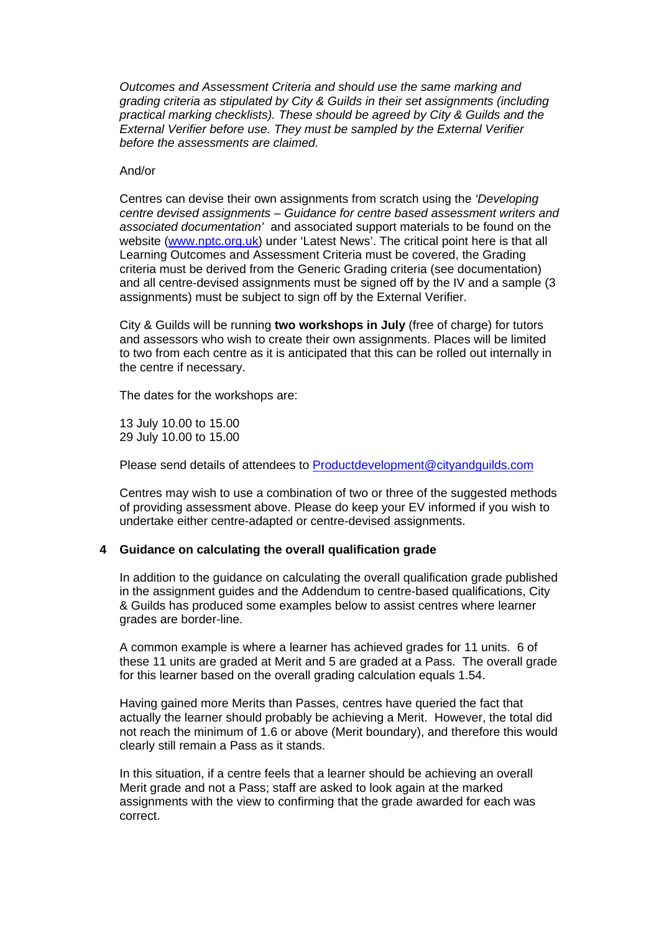*Outcomes and Assessment Criteria and should use the same marking and grading criteria as stipulated by City & Guilds in their set assignments (including practical marking checklists). These should be agreed by City & Guilds and the External Verifier before use. They must be sampled by the External Verifier before the assessments are claimed.* 

#### And/or

Centres can devise their own assignments from scratch using the *'Developing centre devised assignments – Guidance for centre based assessment writers and associated documentation'* and associated support materials to be found on the website [\(www.nptc.org.uk](http://www.nptc.org.uk/)) under 'Latest News'. The critical point here is that all Learning Outcomes and Assessment Criteria must be covered, the Grading criteria must be derived from the Generic Grading criteria (see documentation) and all centre-devised assignments must be signed off by the IV and a sample (3 assignments) must be subject to sign off by the External Verifier.

City & Guilds will be running **two workshops in July** (free of charge) for tutors and assessors who wish to create their own assignments. Places will be limited to two from each centre as it is anticipated that this can be rolled out internally in the centre if necessary.

The dates for the workshops are:

13 July 10.00 to 15.00 29 July 10.00 to 15.00

Please send details of attendees to [Productdevelopment@cityandguilds.com](mailto:Productdevelopment@cityandguilds.com)

Centres may wish to use a combination of two or three of the suggested methods of providing assessment above. Please do keep your EV informed if you wish to undertake either centre-adapted or centre-devised assignments.

### **4 Guidance on calculating the overall qualification grade**

In addition to the guidance on calculating the overall qualification grade published in the assignment guides and the Addendum to centre-based qualifications, City & Guilds has produced some examples below to assist centres where learner grades are border-line.

A common example is where a learner has achieved grades for 11 units. 6 of these 11 units are graded at Merit and 5 are graded at a Pass. The overall grade for this learner based on the overall grading calculation equals 1.54.

Having gained more Merits than Passes, centres have queried the fact that actually the learner should probably be achieving a Merit. However, the total did not reach the minimum of 1.6 or above (Merit boundary), and therefore this would clearly still remain a Pass as it stands.

In this situation, if a centre feels that a learner should be achieving an overall Merit grade and not a Pass; staff are asked to look again at the marked assignments with the view to confirming that the grade awarded for each was correct.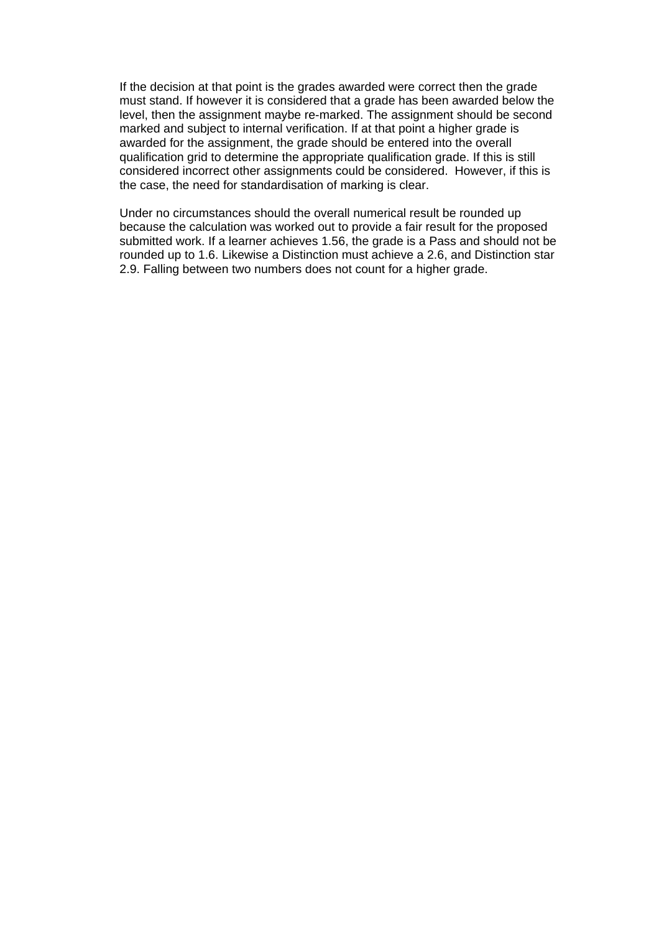If the decision at that point is the grades awarded were correct then the grade must stand. If however it is considered that a grade has been awarded below the level, then the assignment maybe re-marked. The assignment should be second marked and subject to internal verification. If at that point a higher grade is awarded for the assignment, the grade should be entered into the overall qualification grid to determine the appropriate qualification grade. If this is still considered incorrect other assignments could be considered. However, if this is the case, the need for standardisation of marking is clear.

Under no circumstances should the overall numerical result be rounded up because the calculation was worked out to provide a fair result for the proposed submitted work. If a learner achieves 1.56, the grade is a Pass and should not be rounded up to 1.6. Likewise a Distinction must achieve a 2.6, and Distinction star 2.9. Falling between two numbers does not count for a higher grade.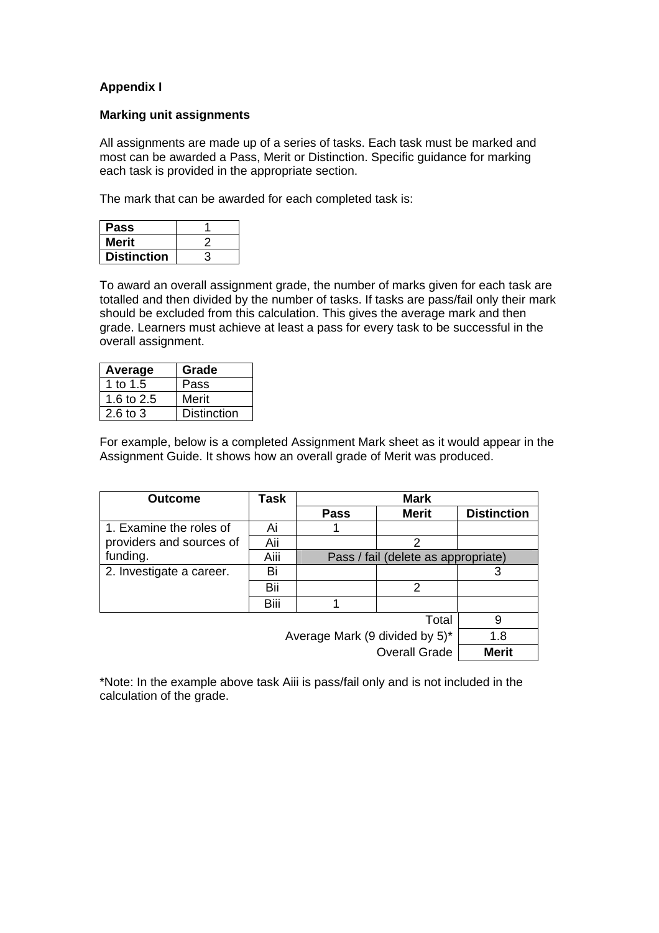# **Appendix I**

## **Marking unit assignments**

All assignments are made up of a series of tasks. Each task must be marked and most can be awarded a Pass, Merit or Distinction. Specific guidance for marking each task is provided in the appropriate section.

The mark that can be awarded for each completed task is:

| <b>Pass</b>        |  |
|--------------------|--|
| Merit              |  |
| <b>Distinction</b> |  |

To award an overall assignment grade, the number of marks given for each task are totalled and then divided by the number of tasks. If tasks are pass/fail only their mark should be excluded from this calculation. This gives the average mark and then grade. Learners must achieve at least a pass for every task to be successful in the overall assignment.

| Average    | Grade              |
|------------|--------------------|
| 1 to 1.5   | Pass               |
| 1.6 to 2.5 | Merit              |
| 2.6 to $3$ | <b>Distinction</b> |

For example, below is a completed Assignment Mark sheet as it would appear in the Assignment Guide. It shows how an overall grade of Merit was produced.

| <b>Outcome</b>                 | Task | Mark        |                                     |                    |
|--------------------------------|------|-------------|-------------------------------------|--------------------|
|                                |      | <b>Pass</b> | <b>Merit</b>                        | <b>Distinction</b> |
| 1. Examine the roles of        | Ai   |             |                                     |                    |
| providers and sources of       | Aii  |             | 2                                   |                    |
| funding.                       | Aiii |             | Pass / fail (delete as appropriate) |                    |
| 2. Investigate a career.       | Bi   |             |                                     | 3                  |
|                                | Bii  |             | 2                                   |                    |
|                                | Biii |             |                                     |                    |
|                                | 9    |             |                                     |                    |
| Average Mark (9 divided by 5)* |      |             |                                     | 1.8                |
|                                |      |             | <b>Overall Grade</b>                | Merit              |

\*Note: In the example above task Aiii is pass/fail only and is not included in the calculation of the grade.